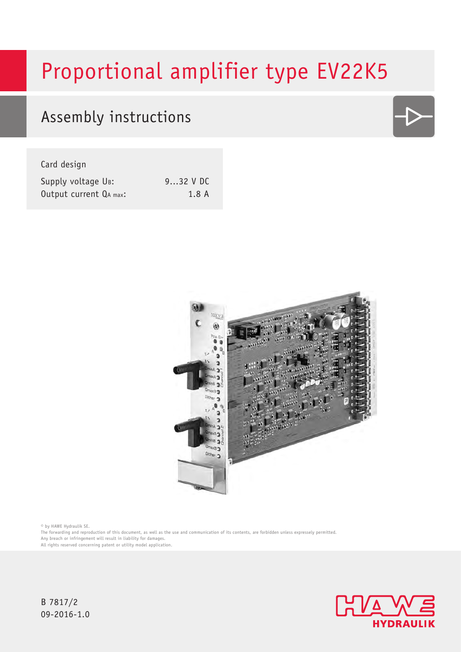# Proportional amplifier type EV22K5

## Assembly instructions

Card design

| Supply voltage UB:     | $932$ V DC |
|------------------------|------------|
| Output current QA max: | 1.8A       |



© by HAWE Hydraulik SE.

The forwarding and reproduction of this document, as well as the use and communication of its contents, are forbidden unless expressely permitted. Any breach or infringement will result in liability for damages.

All rights reserved concerning patent or utility model application.



B 7817/2 09-2016-1.0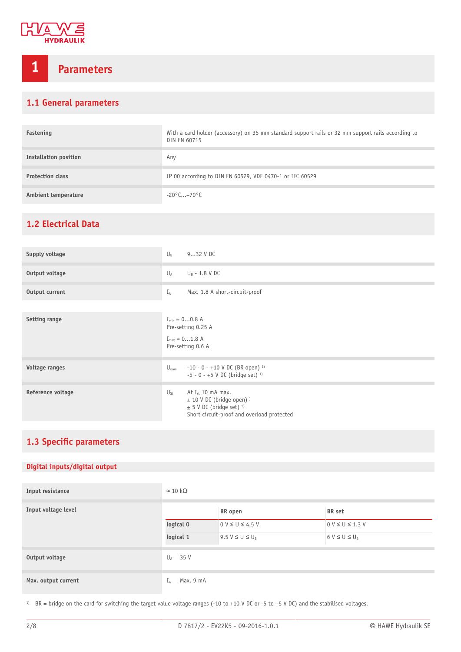

## **1 Parameters**

## **1.1 General parameters**

| Fastening                    | With a card holder (accessory) on 35 mm standard support rails or 32 mm support rails according to<br>DIN EN 60715 |
|------------------------------|--------------------------------------------------------------------------------------------------------------------|
| <b>Installation position</b> | Any                                                                                                                |
| <b>Protection class</b>      | IP 00 according to DIN EN 60529, VDE 0470-1 or IEC 60529                                                           |
| Ambient temperature          | $-20^{\circ}$ C+70 $^{\circ}$ C                                                                                    |

## <span id="page-1-0"></span>**1.2 Electrical Data**

| Supply voltage       | $U_{B}$<br>$932$ V DC                                                                                                                                                 |  |  |
|----------------------|-----------------------------------------------------------------------------------------------------------------------------------------------------------------------|--|--|
| Output voltage       | $U_A$<br>$U_B$ - 1.8 V DC                                                                                                                                             |  |  |
| Output current       | Max. 1.8 A short-circuit-proof<br>$I_A$                                                                                                                               |  |  |
|                      |                                                                                                                                                                       |  |  |
| <b>Setting range</b> | $I_{\min} = 00.8 A$<br>Pre-setting 0.25 A<br>$I_{max} = 01.8$ A<br>Pre-setting 0.6 A                                                                                  |  |  |
| Voltage ranges       | $-10 - 0 - +10$ V DC (BR open) <sup>1)</sup><br>$U_{nom}$<br>$-5 - 0 - +5$ V DC (bridge set) <sup>1)</sup>                                                            |  |  |
| Reference voltage    | At $I_{st}$ 10 mA max.<br>$U_{\mathsf{St}}$<br>$\pm$ 10 V DC (bridge open) )<br>$\pm$ 5 V DC (bridge set) <sup>1)</sup><br>Short circuit-proof and overload protected |  |  |

## <span id="page-1-1"></span>**1.3 Specific parameters**

## **Digital inputs/digital output**

| Input resistance    | $\approx$ 10 kΩ |                       |                       |
|---------------------|-----------------|-----------------------|-----------------------|
| Input voltage level |                 | BR open               | BR set                |
|                     | logical 0       | $0 V \le U \le 4.5 V$ | $0 V \le U \le 1.3 V$ |
|                     | logical 1       | $9.5 V \le U \le U_R$ | $6 V \leq U \leq U_B$ |
| Output voltage      | $U_A$ 35 V      |                       |                       |
| Max. output current | Max. 9 mA<br>ΙĀ |                       |                       |

<sup>1)</sup> BR = bridge on the card for switching the target value voltage ranges (-10 to +10 V DC or -5 to +5 V DC) and the stabilised voltages.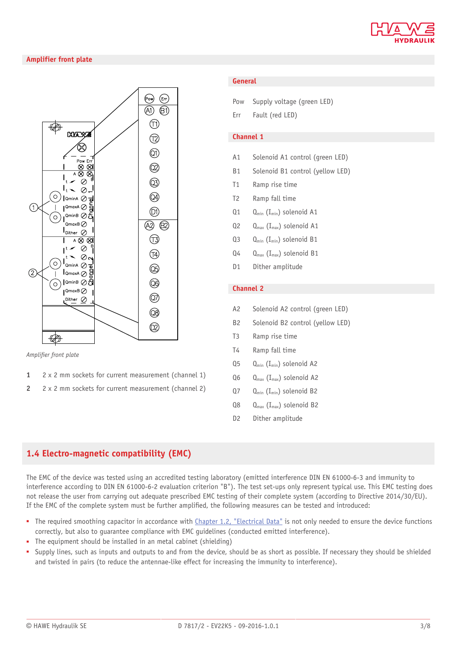

## **Amplifier front plate**



*Amplier front plate*

- **1** 2 x 2 mm sockets for current measurement (channel 1)
- **2** 2 x 2 mm sockets for current measurement (channel 2)

### **General**

| Pow |  | Supply voltage (green LED) |  |  |
|-----|--|----------------------------|--|--|
|-----|--|----------------------------|--|--|

Err Fault (red LED)

### **Channel 1**

- A1 Solenoid A1 control (green LED)
- B1 Solenoid B1 control (yellow LED)
- T1 Ramp rise time
- T2 Ramp fall time
- $Q_1$   $Q_{min}$  (I<sub>min</sub>) solenoid A1
- $Q2 \qquad Q_{\text{max}} (I_{\text{max}})$  solenoid A1
- Q3 Q<sub>min</sub> (I<sub>min</sub>) solenoid B1
- $Q_4$   $Q_{\text{max}}$  (I<sub>max</sub>) solenoid B1
- D1 Dither amplitude

## **Channel 2**

- A2 Solenoid A2 control (green LED)
- B2 Solenoid B2 control (yellow LED)
- T3 Ramp rise time
- T4 Ramp fall time
- $Q_5$   $Q_{\text{min}}$  (I<sub>min</sub>) solenoid A2
- $Q_6$   $Q_{\text{max}}$  ( $I_{\text{max}}$ ) solenoid A2
- $Q7$   $Q_{min}$  (I<sub>min</sub>) solenoid B2
- $Q_8$   $Q_{\text{max}}$  (I<sub>max</sub>) solenoid B2
- D<sub>2</sub> Dither amplitude

## **1.4 Electro-magnetic compatibility (EMC)**

The EMC of the device was tested using an accredited testing laboratory (emitted interference DIN EN 61000-6-3 and immunity to interference according to DIN EN 61000-6-2 evaluation criterion "B"). The test set-ups only represent typical use. This EMC testing does not release the user from carrying out adequate prescribed EMC testing of their complete system (according to Directive 2014/30/EU). If the EMC of the complete system must be further amplified, the following measures can be tested and introduced:

- The required smoothing capacitor in accordance with [Chapter 1.2, "Electrical Data"](#page-1-0) is not only needed to ensure the device functions correctly, but also to guarantee compliance with EMC guidelines (conducted emitted interference).
- The equipment should be installed in an metal cabinet (shielding)
- Supply lines, such as inputs and outputs to and from the device, should be as short as possible. If necessary they should be shielded and twisted in pairs (to reduce the antennae-like effect for increasing the immunity to interference).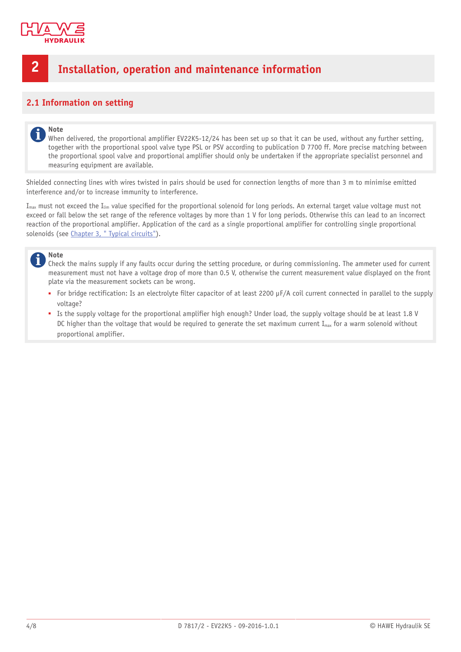

## **2 Installation, operation and maintenance information**

## **2.1 Information on setting**

### **Note** i

When delivered, the proportional amplifier EV22K5-12/24 has been set up so that it can be used, without any further setting, together with the proportional spool valve type PSL or PSV according to publication D 7700 ff. More precise matching between the proportional spool valve and proportional amplifier should only be undertaken if the appropriate specialist personnel and measuring equipment are available.

Shielded connecting lines with wires twisted in pairs should be used for connection lengths of more than 3 m to minimise emitted interference and/or to increase immunity to interference.

 $I_{\text{max}}$  must not exceed the  $I_{\text{lim}}$  value specified for the proportional solenoid for long periods. An external target value voltage must not exceed or fall below the set range of the reference voltages by more than 1 V for long periods. Otherwise this can lead to an incorrect reaction of the proportional amplifier. Application of the card as a single proportional amplifier for controlling single proportional solenoids (see [Chapter 3, " Typical circuits"](#page-7-0)).

### **Note** i

Check the mains supply if any faults occur during the setting procedure, or during commissioning. The ammeter used for current measurement must not have a voltage drop of more than 0.5 V, otherwise the current measurement value displayed on the front plate via the measurement sockets can be wrong.

- For bridge rectification: Is an electrolyte filter capacitor of at least 2200  $\mu$ F/A coil current connected in parallel to the supply voltage?
- Is the supply voltage for the proportional amplifier high enough? Under load, the supply voltage should be at least 1.8 V DC higher than the voltage that would be required to generate the set maximum current  $I_{max}$  for a warm solenoid without proportional amplifier.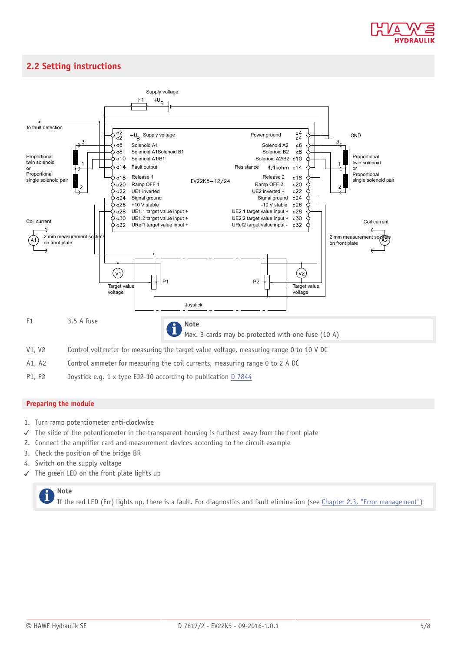

## **2.2 Setting instructions**



P1, P2 Joystick e.g. 1 x type EJ2-10 according to publication [D 7844](http://downloads.hawe.com/7/8/D7844-en.pdf)

## **Preparing the module**

- 1. Turn ramp potentiometer anti-clockwise
- ✓ The slide of the potentiometer in the transparent housing is furthest away from the front plate
- 2. Connect the amplifier card and measurement devices according to the circuit example
- 3. Check the position of the bridge BR
- 4. Switch on the supply voltage
- ✓ The green LED on the front plate lights up



If the red LED (Err) lights up, there is a fault. For diagnostics and fault elimination (see [Chapter 2.3, "Error management"\)](#page-6-0)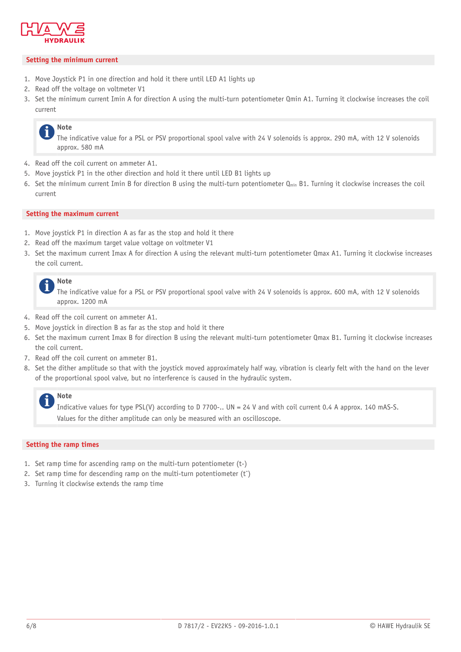

## **Setting the minimum current**

- 1. Move Joystick P1 in one direction and hold it there until LED A1 lights up
- 2. Read off the voltage on voltmeter V1
- 3. Set the minimum current Imin A for direction A using the multi-turn potentiometer Qmin A1. Turning it clockwise increases the coil current

## **Note**

The indicative value for a PSL or PSV proportional spool valve with 24 V solenoids is approx. 290 mA, with 12 V solenoids approx. 580 mA

- 4. Read off the coil current on ammeter A1.
- 5. Move joystick P1 in the other direction and hold it there until LED B1 lights up
- 6. Set the minimum current Imin B for direction B using the multi-turn potentiometer  $Q_{min}$  B1. Turning it clockwise increases the coil current

## **Setting the maximum current**

- 1. Move joystick P1 in direction A as far as the stop and hold it there
- 2. Read off the maximum target value voltage on voltmeter V1
- 3. Set the maximum current Imax A for direction A using the relevant multi-turn potentiometer Qmax A1. Turning it clockwise increases the coil current.



The indicative value for a PSL or PSV proportional spool valve with 24 V solenoids is approx. 600 mA, with 12 V solenoids approx. 1200 mA

- 4. Read off the coil current on ammeter A1.
- 5. Move joystick in direction B as far as the stop and hold it there
- 6. Set the maximum current Imax B for direction B using the relevant multi-turn potentiometer Qmax B1. Turning it clockwise increases the coil current.
- 7. Read off the coil current on ammeter B1.
- 8. Set the dither amplitude so that with the joystick moved approximately half way, vibration is clearly felt with the hand on the lever of the proportional spool valve, but no interference is caused in the hydraulic system.

## **Note**

Indicative values for type PSL(V) according to D 7700-.. UN = 24 V and with coil current 0.4 A approx. 140 mAS-S. Values for the dither amplitude can only be measured with an oscilloscope.

### **Setting the ramp times**

- 1. Set ramp time for ascending ramp on the multi-turn potentiometer (t-)
- 2. Set ramp time for descending ramp on the multi-turn potentiometer (t<sup>-</sup>)
- 3. Turning it clockwise extends the ramp time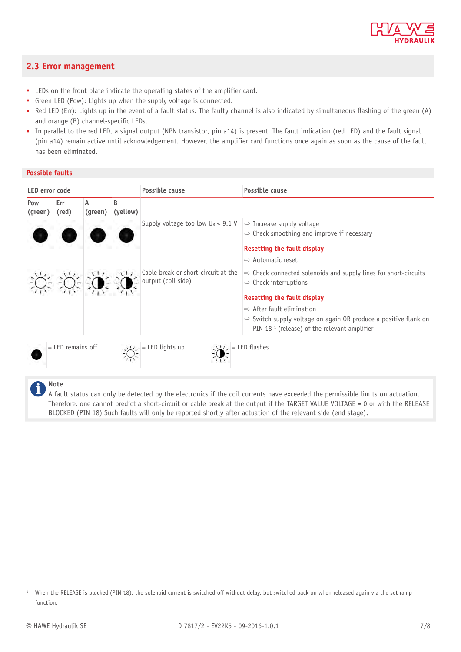

## <span id="page-6-0"></span>**2.3 Error management**

- LEDs on the front plate indicate the operating states of the amplifier card.
- Green LED (Pow): Lights up when the supply voltage is connected.
- Red LED (Err): Lights up in the event of a fault status. The faulty channel is also indicated by simultaneous flashing of the green (A) and orange (B) channel-specific LEDs.
- In parallel to the red LED, a signal output (NPN transistor, pin a14) is present. The fault indication (red LED) and the fault signal (pin a14) remain active until acknowledgement. However, the amplifier card functions once again as soon as the cause of the fault has been eliminated.

## **Possible faults**

| LED error code      |              |                   |                 | Possible cause                                                      | <b>Possible cause</b>                                                                                                                                                                                                                                                                                                            |  |
|---------------------|--------------|-------------------|-----------------|---------------------------------------------------------------------|----------------------------------------------------------------------------------------------------------------------------------------------------------------------------------------------------------------------------------------------------------------------------------------------------------------------------------|--|
| Pow<br>(green)      | Err<br>(red) | A<br>(green)      | B<br>(yellow)   |                                                                     |                                                                                                                                                                                                                                                                                                                                  |  |
|                     |              |                   |                 | Supply voltage too low $U_B$ < 9.1 V                                | $\Rightarrow$ Increase supply voltage<br>$\Rightarrow$ Check smoothing and improve if necessary<br><b>Resetting the fault display</b><br>$\Rightarrow$ Automatic reset                                                                                                                                                           |  |
|                     |              |                   | $\mathcal{L}^+$ | Cable break or short-circuit at the<br>$\bullet$ output (coil side) | $\Rightarrow$ Check connected solenoids and supply lines for short-circuits<br>$\Rightarrow$ Check interruptions<br><b>Resetting the fault display</b><br>$\Rightarrow$ After fault elimination<br>$\Rightarrow$ Switch supply voltage on again OR produce a positive flank on<br>PIN 18 $1$ (release) of the relevant amplifier |  |
| $=$ LED remains off |              | $=$ LED lights up | $=$ LED flashes |                                                                     |                                                                                                                                                                                                                                                                                                                                  |  |
|                     |              |                   |                 |                                                                     |                                                                                                                                                                                                                                                                                                                                  |  |

**Note** Ť

A fault status can only be detected by the electronics if the coil currents have exceeded the permissible limits on actuation. Therefore, one cannot predict a short-circuit or cable break at the output if the TARGET VALUE VOLTAGE = 0 or with the RELEASE BLOCKED (PIN 18) Such faults will only be reported shortly after actuation of the relevant side (end stage).

<sup>1</sup> When the RELEASE is blocked (PIN 18), the solenoid current is switched off without delay, but switched back on when released again via the set ramp function.